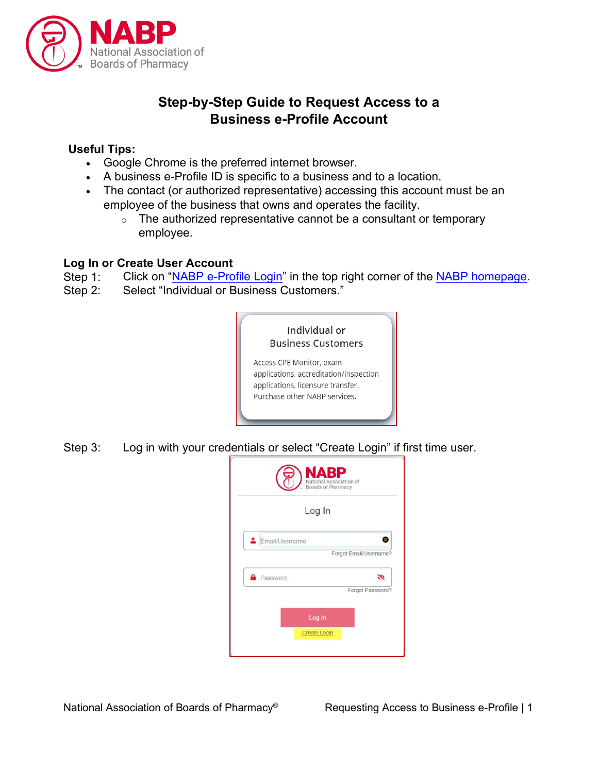

# **Step-by-Step Guide to Request Access to a Business e-Profile Account**

## **Useful Tips:**

- Google Chrome is the preferred internet browser.
- A business e-Profile ID is specific to a business and to a location.
- The contact (or authorized representative) accessing this account must be an employee of the business that owns and operates the facility.
	- $\circ$  The authorized representative cannot be a consultant or temporary employee.

#### **Log In or Create User Account**

Step 1: Click on ["NABP e-Profile Login"](https://dashboard.nabp.pharmacy/#/login) in the top right corner of the [NABP homepage.](https://nabp.pharmacy/)

Step 2: Select "Individual or Business Customers."



Step 3: Log in with your credentials or select "Create Login" if first time user.



National Association of Boards of Pharmacy<sup>®</sup> Requesting Access to Business e-Profile | 1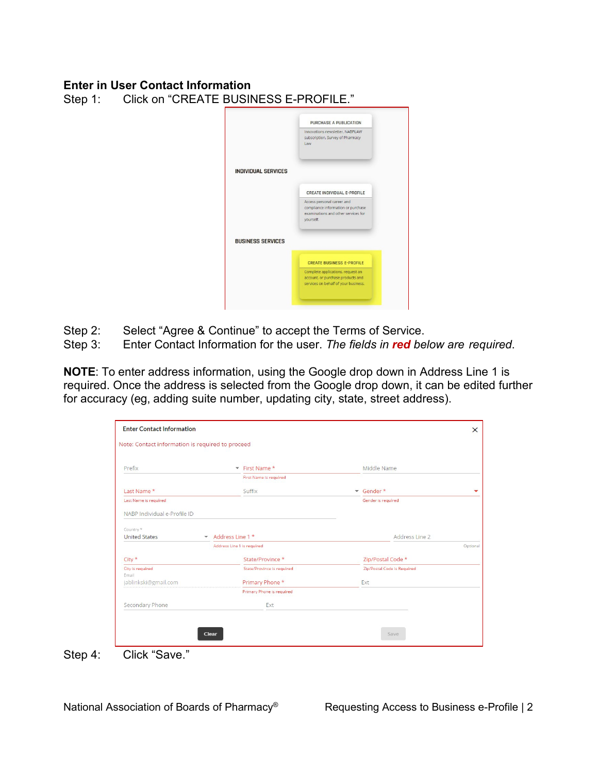#### **Enter in User Contact Information**

Step 1: Click on "CREATE BUSINESS E-PROFILE."

|                            | PURCHASE A PUBLICATION                                                                                               |
|----------------------------|----------------------------------------------------------------------------------------------------------------------|
|                            | Innovations newsletter, NABPLAW<br>subscription, Survey of Pharmacy<br>Law                                           |
| <b>INDIVIDUAL SERVICES</b> |                                                                                                                      |
|                            | CREATE INDIVIDUAL E-PROFILE                                                                                          |
|                            | Access personal career and<br>compliance information or purchase<br>examinations and other services for<br>yourself. |
| <b>BUSINESS SERVICES</b>   |                                                                                                                      |
|                            | <b>CREATE BUSINESS E-PROFILE</b>                                                                                     |
|                            | Complete applications, request an<br>account, or purchase products and<br>services on behalf of your business.       |

- Step 2: Select "Agree & Continue" to accept the Terms of Service.
- Step 3: Enter Contact Information for the user. *The fields in red below are required*.

**NOTE**: To enter address information, using the Google drop down in Address Line 1 is required. Once the address is selected from the Google drop down, it can be edited further for accuracy (eg, adding suite number, updating city, state, street address).

| Note: Contact information is required to proceed |                                              |                             |  |
|--------------------------------------------------|----------------------------------------------|-----------------------------|--|
| Prefix                                           | First Name*                                  | Middle Name                 |  |
|                                                  | First Name is required                       |                             |  |
| Last Name*                                       | Suffix                                       | Gender*                     |  |
| Last Name is required                            |                                              | Gender is required          |  |
| NABP Individual e-Profile ID                     |                                              |                             |  |
| Country *                                        |                                              |                             |  |
| <b>United States</b>                             | $\blacktriangleright$ Address Line 1 $\star$ | Address Line 2              |  |
|                                                  | Address Line 1 is required                   |                             |  |
| $City *$                                         | State/Province *                             | Zip/Postal Code *           |  |
| City is required                                 | State/Province is required                   | Zip/Postal Code is Required |  |
| Email<br>jablinkski@gmail.com                    | Primary Phone *                              | Ext                         |  |
|                                                  | Primary Phone is required                    |                             |  |
| Secondary Phone                                  | Ext                                          |                             |  |
|                                                  |                                              |                             |  |
|                                                  |                                              |                             |  |
|                                                  | Clear                                        | Save                        |  |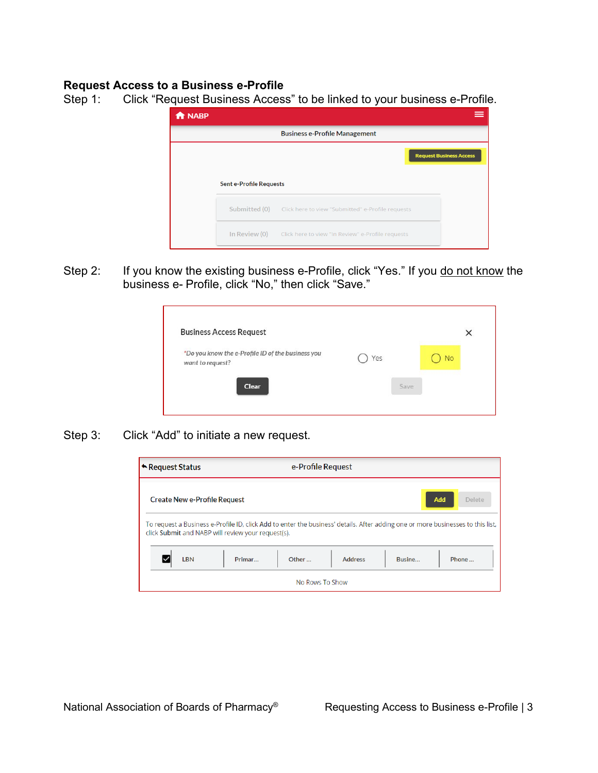## **Request Access to a Business e-Profile**

Step 1: Click "Request Business Access" to be linked to your business e-Profile.

| <b>f</b> NABP |                                | ≡                                                                      |
|---------------|--------------------------------|------------------------------------------------------------------------|
|               |                                | <b>Business e-Profile Management</b>                                   |
|               | <b>Sent e-Profile Requests</b> | <b>Request Business Access</b>                                         |
|               |                                | <b>Submitted (0)</b> Click here to view "Submitted" e-Profile requests |
|               |                                | In Review (0) Click here to view "In Review" e-Profile requests        |

Step 2: If you know the existing business e-Profile, click "Yes." If you do not know the business e- Profile, click "No," then click "Save."

|     |      |           | × |
|-----|------|-----------|---|
| Yes |      | <b>No</b> |   |
|     | Save |           |   |
|     |      |           |   |

Step 3: Click "Add" to initiate a new request.

| ← Request Status                                                                                                                                                                      |        |       | e-Profile Request |        |               |
|---------------------------------------------------------------------------------------------------------------------------------------------------------------------------------------|--------|-------|-------------------|--------|---------------|
| <b>Create New e-Profile Request</b>                                                                                                                                                   |        |       |                   |        | Add<br>Delete |
| To request a Business e-Profile ID, click Add to enter the business' details. After adding one or more businesses to this list,<br>click Submit and NABP will review your request(s). |        |       |                   |        |               |
| <b>LBN</b>                                                                                                                                                                            | Primar | Other | <b>Address</b>    | Busine | Phone         |
|                                                                                                                                                                                       |        |       | No Rows To Show   |        |               |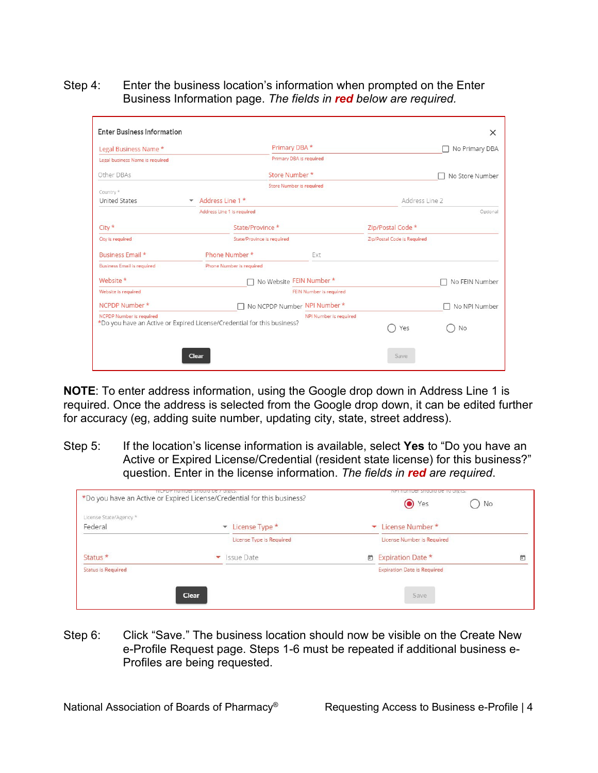Step 4: Enter the business location's information when prompted on the Enter Business Information page. *The fields in red below are required.*

|                            | Primary DBA *           |                                                                                                                                                                                                              | No Primary DBA  |
|----------------------------|-------------------------|--------------------------------------------------------------------------------------------------------------------------------------------------------------------------------------------------------------|-----------------|
|                            | Primary DBA is required |                                                                                                                                                                                                              |                 |
|                            |                         |                                                                                                                                                                                                              | No Store Number |
|                            |                         |                                                                                                                                                                                                              |                 |
| Address Line 1 *           |                         | Address Line 2                                                                                                                                                                                               |                 |
| Address Line 1 is required |                         |                                                                                                                                                                                                              | Optional        |
| State/Province *           |                         | Zip/Postal Code *                                                                                                                                                                                            |                 |
| State/Province is required |                         | Zip/Postal Code is Required                                                                                                                                                                                  |                 |
| Phone Number *             | Ext                     |                                                                                                                                                                                                              |                 |
| Phone Number is required   |                         |                                                                                                                                                                                                              |                 |
|                            |                         |                                                                                                                                                                                                              | No FEIN Number  |
|                            |                         |                                                                                                                                                                                                              |                 |
|                            |                         |                                                                                                                                                                                                              | No NPI Number   |
|                            | NPI Number is required  | Yes                                                                                                                                                                                                          | No              |
|                            |                         | Store Number *<br>Store Number is required<br>No Website FEIN Number *<br>FEIN Number is required<br>No NCPDP Number NPI Number *<br>*Do you have an Active or Expired License/Credential for this business? |                 |

**NOTE**: To enter address information, using the Google drop down in Address Line 1 is required. Once the address is selected from the Google drop down, it can be edited further for accuracy (eg, adding suite number, updating city, state, street address).

Step 5: If the location's license information is available, select **Yes** to "Do you have an Active or Expired License/Credential (resident state license) for this business?" question. Enter in the license information. *The fields in red are required*.

| * License Number *                 |
|------------------------------------|
| License Number is Required         |
| □ Expiration Date *<br>茴           |
| <b>Expiration Date is Required</b> |
|                                    |

Step 6: Click "Save." The business location should now be visible on the Create New e-Profile Request page. Steps 1-6 must be repeated if additional business e-Profiles are being requested.

National Association of Boards of Pharmacy<sup>®</sup> Requesting Access to Business e-Profile | 4